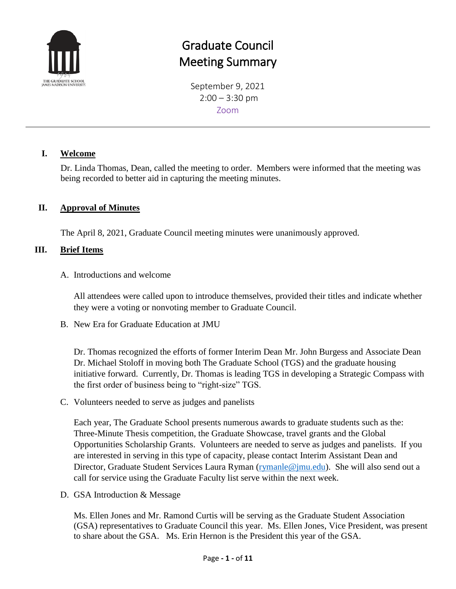

## Graduate Council Meeting Summary

September 9, 2021  $2:00 - 3:30$  pm Zoom

#### **I. Welcome**

Dr. Linda Thomas, Dean, called the meeting to order. Members were informed that the meeting was being recorded to better aid in capturing the meeting minutes.

#### **II. Approval of Minutes**

The April 8, 2021, Graduate Council meeting minutes were unanimously approved.

#### **III. Brief Items**

#### A. Introductions and welcome

All attendees were called upon to introduce themselves, provided their titles and indicate whether they were a voting or nonvoting member to Graduate Council.

B. New Era for Graduate Education at JMU

Dr. Thomas recognized the efforts of former Interim Dean Mr. John Burgess and Associate Dean Dr. Michael Stoloff in moving both The Graduate School (TGS) and the graduate housing initiative forward. Currently, Dr. Thomas is leading TGS in developing a Strategic Compass with the first order of business being to "right-size" TGS.

C. Volunteers needed to serve as judges and panelists

Each year, The Graduate School presents numerous awards to graduate students such as the: Three-Minute Thesis competition, the Graduate Showcase, travel grants and the Global Opportunities Scholarship Grants. Volunteers are needed to serve as judges and panelists. If you are interested in serving in this type of capacity, please contact Interim Assistant Dean and Director, Graduate Student Services Laura Ryman [\(rymanle@jmu.edu\)](mailto:rymanle@jmu.edu). She will also send out a call for service using the Graduate Faculty list serve within the next week.

D. GSA Introduction & Message

Ms. Ellen Jones and Mr. Ramond Curtis will be serving as the Graduate Student Association (GSA) representatives to Graduate Council this year. Ms. Ellen Jones, Vice President, was present to share about the GSA. Ms. Erin Hernon is the President this year of the GSA.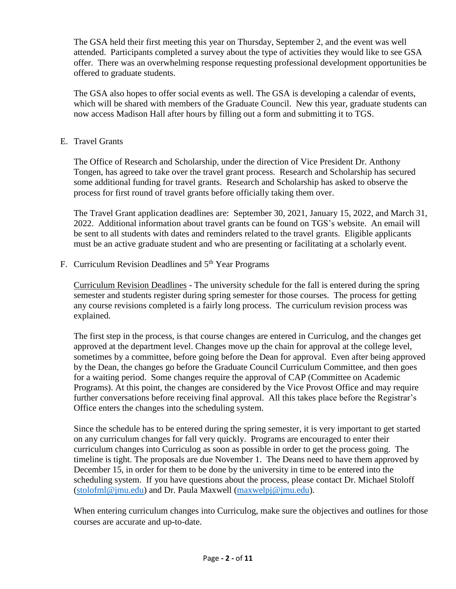The GSA held their first meeting this year on Thursday, September 2, and the event was well attended. Participants completed a survey about the type of activities they would like to see GSA offer. There was an overwhelming response requesting professional development opportunities be offered to graduate students.

The GSA also hopes to offer social events as well. The GSA is developing a calendar of events, which will be shared with members of the Graduate Council. New this year, graduate students can now access Madison Hall after hours by filling out a form and submitting it to TGS.

#### E. Travel Grants

The Office of Research and Scholarship, under the direction of Vice President Dr. Anthony Tongen, has agreed to take over the travel grant process. Research and Scholarship has secured some additional funding for travel grants. Research and Scholarship has asked to observe the process for first round of travel grants before officially taking them over.

The Travel Grant application deadlines are: September 30, 2021, January 15, 2022, and March 31, 2022. Additional information about travel grants can be found on TGS's website. An email will be sent to all students with dates and reminders related to the travel grants. Eligible applicants must be an active graduate student and who are presenting or facilitating at a scholarly event.

F. Curriculum Revision Deadlines and  $5<sup>th</sup>$  Year Programs

Curriculum Revision Deadlines - The university schedule for the fall is entered during the spring semester and students register during spring semester for those courses. The process for getting any course revisions completed is a fairly long process. The curriculum revision process was explained.

The first step in the process, is that course changes are entered in Curriculog, and the changes get approved at the department level. Changes move up the chain for approval at the college level, sometimes by a committee, before going before the Dean for approval. Even after being approved by the Dean, the changes go before the Graduate Council Curriculum Committee, and then goes for a waiting period. Some changes require the approval of CAP (Committee on Academic Programs). At this point, the changes are considered by the Vice Provost Office and may require further conversations before receiving final approval. All this takes place before the Registrar's Office enters the changes into the scheduling system.

Since the schedule has to be entered during the spring semester, it is very important to get started on any curriculum changes for fall very quickly. Programs are encouraged to enter their curriculum changes into Curriculog as soon as possible in order to get the process going. The timeline is tight. The proposals are due November 1. The Deans need to have them approved by December 15, in order for them to be done by the university in time to be entered into the scheduling system. If you have questions about the process, please contact Dr. Michael Stoloff [\(stolofml@jmu.edu\)](mailto:stolofml@jmu.edu) and Dr. Paula Maxwell [\(maxwelpj@jmu.edu\)](mailto:maxwelpj@jmu.edu).

When entering curriculum changes into Curriculog, make sure the objectives and outlines for those courses are accurate and up-to-date.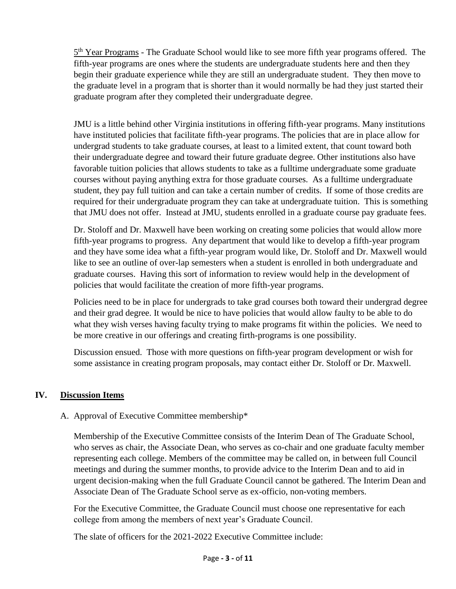5<sup>th</sup> Year Programs - The Graduate School would like to see more fifth year programs offered. The fifth-year programs are ones where the students are undergraduate students here and then they begin their graduate experience while they are still an undergraduate student. They then move to the graduate level in a program that is shorter than it would normally be had they just started their graduate program after they completed their undergraduate degree.

JMU is a little behind other Virginia institutions in offering fifth-year programs. Many institutions have instituted policies that facilitate fifth-year programs. The policies that are in place allow for undergrad students to take graduate courses, at least to a limited extent, that count toward both their undergraduate degree and toward their future graduate degree. Other institutions also have favorable tuition policies that allows students to take as a fulltime undergraduate some graduate courses without paying anything extra for those graduate courses. As a fulltime undergraduate student, they pay full tuition and can take a certain number of credits. If some of those credits are required for their undergraduate program they can take at undergraduate tuition. This is something that JMU does not offer. Instead at JMU, students enrolled in a graduate course pay graduate fees.

Dr. Stoloff and Dr. Maxwell have been working on creating some policies that would allow more fifth-year programs to progress. Any department that would like to develop a fifth-year program and they have some idea what a fifth-year program would like, Dr. Stoloff and Dr. Maxwell would like to see an outline of over-lap semesters when a student is enrolled in both undergraduate and graduate courses. Having this sort of information to review would help in the development of policies that would facilitate the creation of more fifth-year programs.

Policies need to be in place for undergrads to take grad courses both toward their undergrad degree and their grad degree. It would be nice to have policies that would allow faulty to be able to do what they wish verses having faculty trying to make programs fit within the policies. We need to be more creative in our offerings and creating firth-programs is one possibility.

Discussion ensued. Those with more questions on fifth-year program development or wish for some assistance in creating program proposals, may contact either Dr. Stoloff or Dr. Maxwell.

#### **IV. Discussion Items**

#### A. Approval of Executive Committee membership\*

Membership of the Executive Committee consists of the Interim Dean of The Graduate School, who serves as chair, the Associate Dean, who serves as co-chair and one graduate faculty member representing each college. Members of the committee may be called on, in between full Council meetings and during the summer months, to provide advice to the Interim Dean and to aid in urgent decision-making when the full Graduate Council cannot be gathered. The Interim Dean and Associate Dean of The Graduate School serve as ex-officio, non-voting members.

For the Executive Committee, the Graduate Council must choose one representative for each college from among the members of next year's Graduate Council.

The slate of officers for the 2021-2022 Executive Committee include: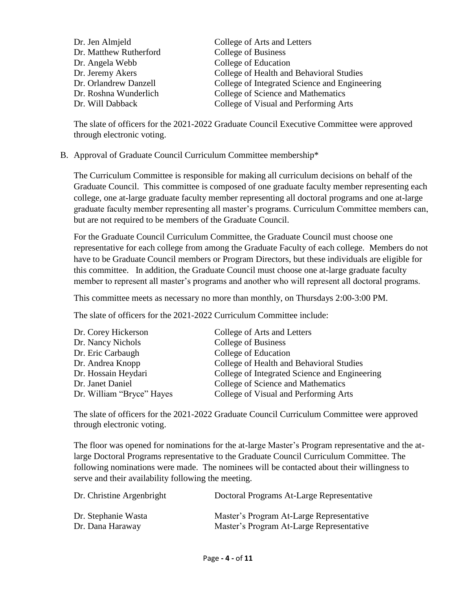| Dr. Jen Almjeld        | College of Arts and Letters                   |
|------------------------|-----------------------------------------------|
| Dr. Matthew Rutherford | <b>College of Business</b>                    |
| Dr. Angela Webb        | College of Education                          |
| Dr. Jeremy Akers       | College of Health and Behavioral Studies      |
| Dr. Orlandrew Danzell  | College of Integrated Science and Engineering |
| Dr. Roshna Wunderlich  | College of Science and Mathematics            |
| Dr. Will Dabback       | College of Visual and Performing Arts         |

The slate of officers for the 2021-2022 Graduate Council Executive Committee were approved through electronic voting.

B. Approval of Graduate Council Curriculum Committee membership\*

The Curriculum Committee is responsible for making all curriculum decisions on behalf of the Graduate Council. This committee is composed of one graduate faculty member representing each college, one at-large graduate faculty member representing all doctoral programs and one at-large graduate faculty member representing all master's programs. Curriculum Committee members can, but are not required to be members of the Graduate Council.

For the Graduate Council Curriculum Committee, the Graduate Council must choose one representative for each college from among the Graduate Faculty of each college. Members do not have to be Graduate Council members or Program Directors, but these individuals are eligible for this committee. In addition, the Graduate Council must choose one at-large graduate faculty member to represent all master's programs and another who will represent all doctoral programs.

This committee meets as necessary no more than monthly, on Thursdays 2:00-3:00 PM.

The slate of officers for the 2021-2022 Curriculum Committee include:

| Dr. Corey Hickerson       | College of Arts and Letters                   |
|---------------------------|-----------------------------------------------|
| Dr. Nancy Nichols         | College of Business                           |
| Dr. Eric Carbaugh         | College of Education                          |
| Dr. Andrea Knopp          | College of Health and Behavioral Studies      |
| Dr. Hossain Heydari       | College of Integrated Science and Engineering |
| Dr. Janet Daniel          | College of Science and Mathematics            |
| Dr. William "Bryce" Hayes | College of Visual and Performing Arts         |

The slate of officers for the 2021-2022 Graduate Council Curriculum Committee were approved through electronic voting.

The floor was opened for nominations for the at-large Master's Program representative and the atlarge Doctoral Programs representative to the Graduate Council Curriculum Committee. The following nominations were made. The nominees will be contacted about their willingness to serve and their availability following the meeting.

| Dr. Christine Argenbright | Doctoral Programs At-Large Representative |
|---------------------------|-------------------------------------------|
| Dr. Stephanie Wasta       | Master's Program At-Large Representative  |
| Dr. Dana Haraway          | Master's Program At-Large Representative  |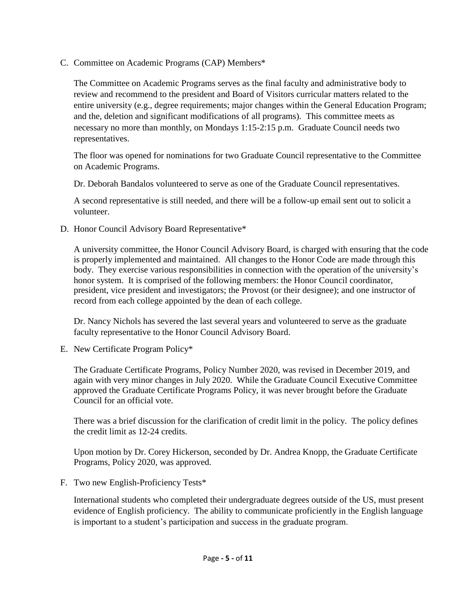C. Committee on Academic Programs (CAP) Members\*

The Committee on Academic Programs serves as the final faculty and administrative body to review and recommend to the president and Board of Visitors curricular matters related to the entire university (e.g., degree requirements; major changes within the General Education Program; and the, deletion and significant modifications of all programs). This committee meets as necessary no more than monthly, on Mondays 1:15-2:15 p.m. Graduate Council needs two representatives.

The floor was opened for nominations for two Graduate Council representative to the Committee on Academic Programs.

Dr. Deborah Bandalos volunteered to serve as one of the Graduate Council representatives.

A second representative is still needed, and there will be a follow-up email sent out to solicit a volunteer.

D. Honor Council Advisory Board Representative\*

A university committee, the Honor Council Advisory Board, is charged with ensuring that the code is properly implemented and maintained. All changes to the Honor Code are made through this body. They exercise various responsibilities in connection with the operation of the university's honor system. It is comprised of the following members: the Honor Council coordinator, president, vice president and investigators; the Provost (or their designee); and one instructor of record from each college appointed by the dean of each college.

Dr. Nancy Nichols has severed the last several years and volunteered to serve as the graduate faculty representative to the Honor Council Advisory Board.

E. New Certificate Program Policy\*

The Graduate Certificate Programs, Policy Number 2020, was revised in December 2019, and again with very minor changes in July 2020. While the Graduate Council Executive Committee approved the Graduate Certificate Programs Policy, it was never brought before the Graduate Council for an official vote.

There was a brief discussion for the clarification of credit limit in the policy. The policy defines the credit limit as 12-24 credits.

Upon motion by Dr. Corey Hickerson, seconded by Dr. Andrea Knopp, the Graduate Certificate Programs, Policy 2020, was approved.

F. Two new English-Proficiency Tests\*

International students who completed their undergraduate degrees outside of the US, must present evidence of English proficiency. The ability to communicate proficiently in the English language is important to a student's participation and success in the graduate program.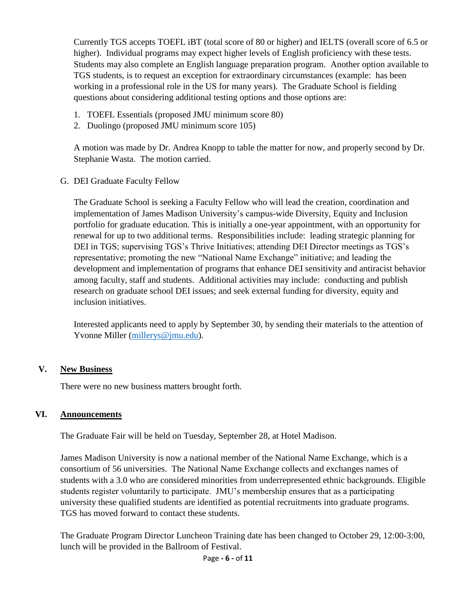Currently TGS accepts TOEFL iBT (total score of 80 or higher) and IELTS (overall score of 6.5 or higher). Individual programs may expect higher levels of English proficiency with these tests. Students may also complete an English language preparation program. Another option available to TGS students, is to request an exception for extraordinary circumstances (example: has been working in a professional role in the US for many years). The Graduate School is fielding questions about considering additional testing options and those options are:

- 1. TOEFL Essentials (proposed JMU minimum score 80)
- 2. Duolingo (proposed JMU minimum score 105)

A motion was made by Dr. Andrea Knopp to table the matter for now, and properly second by Dr. Stephanie Wasta. The motion carried.

#### G. DEI Graduate Faculty Fellow

The Graduate School is seeking a Faculty Fellow who will lead the creation, coordination and implementation of James Madison University's campus-wide Diversity, Equity and Inclusion portfolio for graduate education. This is initially a one-year appointment, with an opportunity for renewal for up to two additional terms. Responsibilities include: leading strategic planning for DEI in TGS; supervising TGS's Thrive Initiatives; attending DEI Director meetings as TGS's representative; promoting the new "National Name Exchange" initiative; and leading the development and implementation of programs that enhance DEI sensitivity and antiracist behavior among faculty, staff and students. Additional activities may include: conducting and publish research on graduate school DEI issues; and seek external funding for diversity, equity and inclusion initiatives.

Interested applicants need to apply by September 30, by sending their materials to the attention of Yvonne Miller [\(millerys@jmu.edu\)](mailto:millerys@jmu.edu).

#### **V. New Business**

There were no new business matters brought forth.

#### **VI. Announcements**

The Graduate Fair will be held on Tuesday, September 28, at Hotel Madison.

James Madison University is now a national member of the National Name Exchange, which is a consortium of 56 universities. The National Name Exchange collects and exchanges names of students with a 3.0 who are considered minorities from underrepresented ethnic backgrounds. Eligible students register voluntarily to participate. JMU's membership ensures that as a participating university these qualified students are identified as potential recruitments into graduate programs. TGS has moved forward to contact these students.

The Graduate Program Director Luncheon Training date has been changed to October 29, 12:00-3:00, lunch will be provided in the Ballroom of Festival.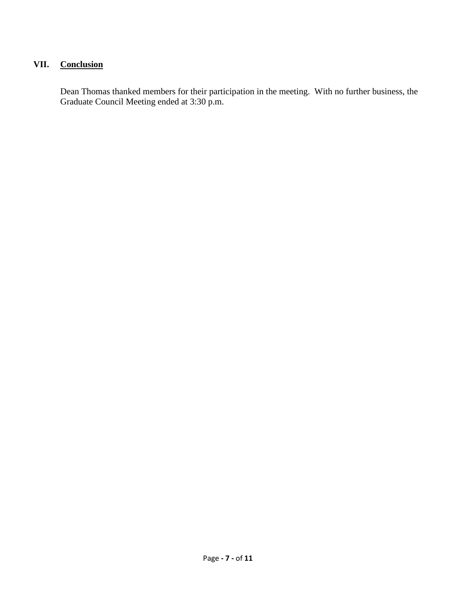#### **VII. Conclusion**

Dean Thomas thanked members for their participation in the meeting. With no further business, the Graduate Council Meeting ended at 3:30 p.m.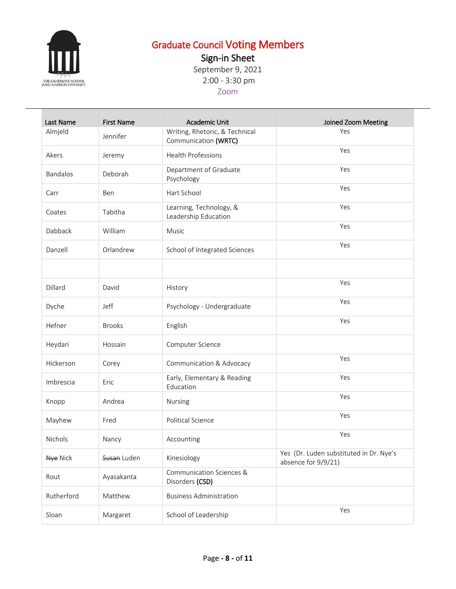

# Graduate Council Voting Members

Sign-in Sheet

September 9, 2021 2:00 - 3:30 pm

Zoom

| Last Name  | <b>First Name</b> | <b>Academic Unit</b>                                   | Joined Zoom Meeting                                            |
|------------|-------------------|--------------------------------------------------------|----------------------------------------------------------------|
| Almjeld    | Jennifer          | Writing, Rhetoric, & Technical<br>Communication (WRTC) | Yes                                                            |
| Akers      | Jeremy            | Health Professions                                     | Yes                                                            |
| Bandalos   | Deborah           | Department of Graduate<br>Psychology                   | Yes                                                            |
| Carr       | Ben               | Hart School                                            | Yes                                                            |
| Coates     | Tabitha           | Learning, Technology, &<br>Leadership Education        | Yes                                                            |
| Dabback    | William           | Music                                                  | Yes                                                            |
| Danzell    | Orlandrew         | School of Integrated Sciences                          | Yes                                                            |
|            |                   |                                                        |                                                                |
| Dillard    | David             | History                                                | Yes                                                            |
| Dyche      | Jeff              | Psychology - Undergraduate                             | Yes                                                            |
| Hefner     | <b>Brooks</b>     | English                                                | Yes                                                            |
| Heydari    | Hossain           | Computer Science                                       |                                                                |
| Hickerson  | Corey             | Communication & Advocacy                               | Yes                                                            |
| Imbrescia  | Eric              | Early, Elementary & Reading<br>Education               | Yes                                                            |
| Knopp      | Andrea            | Nursing                                                | Yes                                                            |
| Mayhew     | Fred              | <b>Political Science</b>                               | Yes                                                            |
| Nichols    | Nancy             | Accounting                                             | Yes                                                            |
| Nye Nick   | Susan Luden       | Kinesiology                                            | Yes (Dr. Luden substituted in Dr. Nye's<br>absence for 9/9/21) |
| Rout       | Ayasakanta        | Communication Sciences &<br>Disorders (CSD)            |                                                                |
| Rutherford | Matthew           | <b>Business Administration</b>                         |                                                                |
| Sloan      | Margaret          | School of Leadership                                   | Yes                                                            |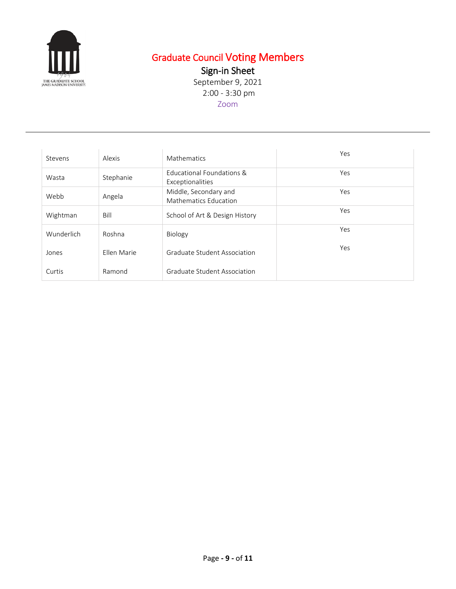

### Graduate Council Voting Members

Sign-in Sheet

September 9, 2021 2:00 - 3:30 pm Zoom

Stevens Alexis Mathematics Alexies Alexies Alexies Alexies Alexies Alexies Alexies Alexies Alexies Alexies Alex Wasta Stephanie Educational Foundations & Exceptionalities Yes Webb Angela Middle, Secondary and Mathematics Education Yes Wightman Bill School of Art & Design History Nes Wunderlich Roshna Biology **Wunderlich** Yes Jones Ellen Marie Graduate Student Association Yes Curtis Ramond Graduate Student Association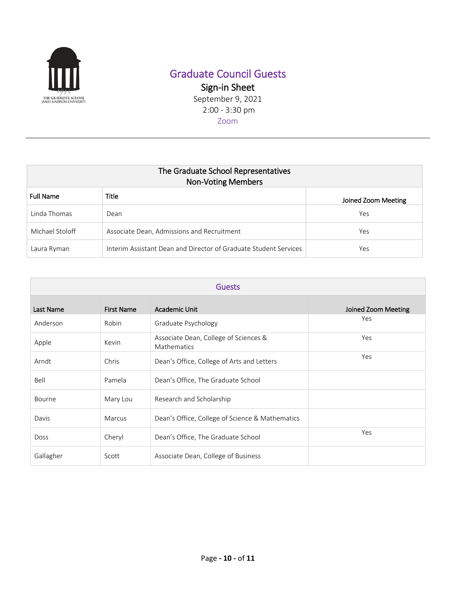

## Graduate Council Guests

Sign-in Sheet September 9, 2021

2:00 - 3:30 pm

Zoom

| The Graduate School Representatives<br><b>Non-Voting Members</b> |                                                                  |                     |  |
|------------------------------------------------------------------|------------------------------------------------------------------|---------------------|--|
| <b>Full Name</b>                                                 | Title                                                            | Joined Zoom Meeting |  |
| Linda Thomas                                                     | Dean                                                             | Yes                 |  |
| Michael Stoloff                                                  | Associate Dean, Admissions and Recruitment                       | Yes                 |  |
| Laura Ryman                                                      | Interim Assistant Dean and Director of Graduate Student Services | Yes                 |  |

| <b>Guests</b> |                   |                                                      |                     |
|---------------|-------------------|------------------------------------------------------|---------------------|
| Last Name     | <b>First Name</b> | Academic Unit                                        | Joined Zoom Meeting |
| Anderson      | Robin             | Graduate Psychology                                  | Yes                 |
| Apple         | Kevin             | Associate Dean, College of Sciences &<br>Mathematics | Yes                 |
| Arndt         | Chris             | Dean's Office, College of Arts and Letters           | Yes                 |
| Bell          | Pamela            | Dean's Office, The Graduate School                   |                     |
| Bourne        | Mary Lou          | Research and Scholarship                             |                     |
| Davis         | Marcus            | Dean's Office, College of Science & Mathematics      |                     |
| <b>Doss</b>   | Cheryl            | Dean's Office, The Graduate School                   | Yes                 |
| Gallagher     | Scott             | Associate Dean, College of Business                  |                     |